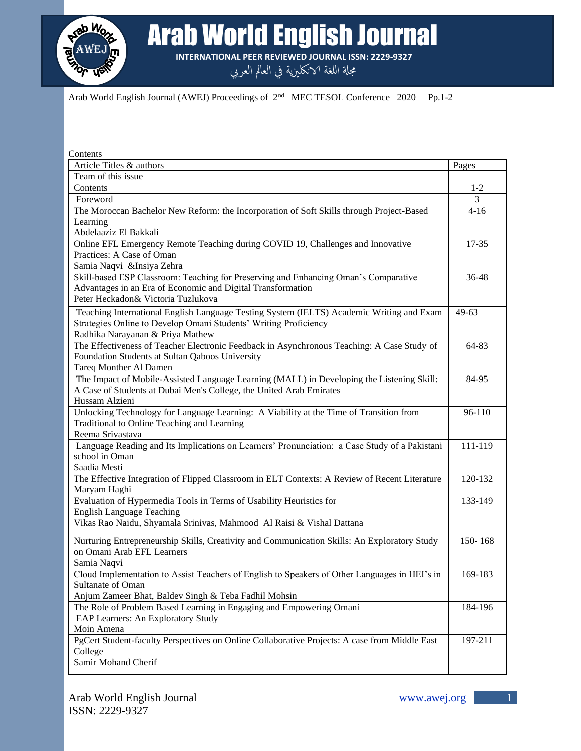

Arab World English Journal

**INTERNATIONAL PEER REVIEWED JOURNAL ISSN: 2229-9327**

مجلة اللغة الانكليزية في العالم العربي

Arab World English Journal (AWEJ) Proceedings of  $2<sup>nd</sup>$  MEC TESOL Conference 2020 Pp.1-2

| Contents                                                                                      |             |
|-----------------------------------------------------------------------------------------------|-------------|
| Article Titles & authors                                                                      | Pages       |
| Team of this issue                                                                            |             |
| Contents                                                                                      | $1 - 2$     |
| Foreword                                                                                      | 3           |
| The Moroccan Bachelor New Reform: the Incorporation of Soft Skills through Project-Based      | $4 - 16$    |
| Learning                                                                                      |             |
| Abdelaaziz El Bakkali                                                                         |             |
| Online EFL Emergency Remote Teaching during COVID 19, Challenges and Innovative               | $17 - 35$   |
| Practices: A Case of Oman                                                                     |             |
| Samia Naqvi & Insiya Zehra                                                                    |             |
| Skill-based ESP Classroom: Teaching for Preserving and Enhancing Oman's Comparative           | 36-48       |
| Advantages in an Era of Economic and Digital Transformation                                   |             |
| Peter Heckadon& Victoria Tuzlukova                                                            |             |
| Teaching International English Language Testing System (IELTS) Academic Writing and Exam      | 49-63       |
| Strategies Online to Develop Omani Students' Writing Proficiency                              |             |
| Radhika Narayanan & Priya Mathew                                                              |             |
| The Effectiveness of Teacher Electronic Feedback in Asynchronous Teaching: A Case Study of    | 64-83       |
| Foundation Students at Sultan Qaboos University                                               |             |
| Tareq Monther Al Damen                                                                        |             |
| The Impact of Mobile-Assisted Language Learning (MALL) in Developing the Listening Skill:     | 84-95       |
| A Case of Students at Dubai Men's College, the United Arab Emirates                           |             |
| Hussam Alzieni                                                                                |             |
| Unlocking Technology for Language Learning: A Viability at the Time of Transition from        | 96-110      |
| Traditional to Online Teaching and Learning                                                   |             |
| Reema Srivastava                                                                              |             |
| Language Reading and Its Implications on Learners' Pronunciation: a Case Study of a Pakistani | 111-119     |
| school in Oman                                                                                |             |
| Saadia Mesti                                                                                  |             |
| The Effective Integration of Flipped Classroom in ELT Contexts: A Review of Recent Literature | 120-132     |
| Maryam Haghi                                                                                  |             |
| Evaluation of Hypermedia Tools in Terms of Usability Heuristics for                           | 133-149     |
| <b>English Language Teaching</b>                                                              |             |
| Vikas Rao Naidu, Shyamala Srinivas, Mahmood Al Raisi & Vishal Dattana                         |             |
| Nurturing Entrepreneurship Skills, Creativity and Communication Skills: An Exploratory Study  | $150 - 168$ |
| on Omani Arab EFL Learners                                                                    |             |
| Samia Naqvi                                                                                   |             |
| Cloud Implementation to Assist Teachers of English to Speakers of Other Languages in HEI's in | 169-183     |
| Sultanate of Oman                                                                             |             |
| Anjum Zameer Bhat, Baldev Singh & Teba Fadhil Mohsin                                          |             |
| The Role of Problem Based Learning in Engaging and Empowering Omani                           | 184-196     |
| EAP Learners: An Exploratory Study                                                            |             |
| Moin Amena                                                                                    |             |
| PgCert Student-faculty Perspectives on Online Collaborative Projects: A case from Middle East | 197-211     |
| College                                                                                       |             |
| Samir Mohand Cherif                                                                           |             |
|                                                                                               |             |